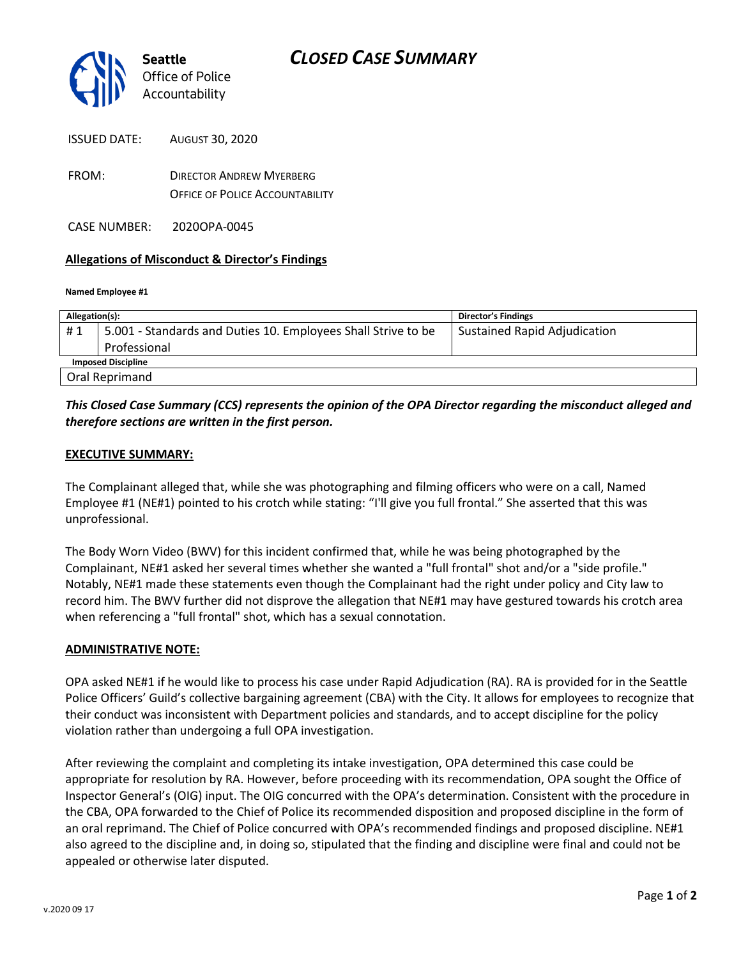

| <b>ISSUED DATE:</b> | AUGUST 30, 2020 |
|---------------------|-----------------|
|                     |                 |

FROM: DIRECTOR ANDREW MYERBERG OFFICE OF POLICE ACCOUNTABILITY

CASE NUMBER: 2020OPA-0045

# **Allegations of Misconduct & Director's Findings**

#### **Named Employee #1**

| Allegation(s):            |                                                               | <b>Director's Findings</b>          |
|---------------------------|---------------------------------------------------------------|-------------------------------------|
| #1                        | 5.001 - Standards and Duties 10. Employees Shall Strive to be | <b>Sustained Rapid Adjudication</b> |
|                           | Professional                                                  |                                     |
| <b>Imposed Discipline</b> |                                                               |                                     |
|                           | Oral Reprimand                                                |                                     |

# *This Closed Case Summary (CCS) represents the opinion of the OPA Director regarding the misconduct alleged and therefore sections are written in the first person.*

### **EXECUTIVE SUMMARY:**

The Complainant alleged that, while she was photographing and filming officers who were on a call, Named Employee #1 (NE#1) pointed to his crotch while stating: "I'll give you full frontal." She asserted that this was unprofessional.

The Body Worn Video (BWV) for this incident confirmed that, while he was being photographed by the Complainant, NE#1 asked her several times whether she wanted a "full frontal" shot and/or a "side profile." Notably, NE#1 made these statements even though the Complainant had the right under policy and City law to record him. The BWV further did not disprove the allegation that NE#1 may have gestured towards his crotch area when referencing a "full frontal" shot, which has a sexual connotation.

#### **ADMINISTRATIVE NOTE:**

OPA asked NE#1 if he would like to process his case under Rapid Adjudication (RA). RA is provided for in the Seattle Police Officers' Guild's collective bargaining agreement (CBA) with the City. It allows for employees to recognize that their conduct was inconsistent with Department policies and standards, and to accept discipline for the policy violation rather than undergoing a full OPA investigation.

After reviewing the complaint and completing its intake investigation, OPA determined this case could be appropriate for resolution by RA. However, before proceeding with its recommendation, OPA sought the Office of Inspector General's (OIG) input. The OIG concurred with the OPA's determination. Consistent with the procedure in the CBA, OPA forwarded to the Chief of Police its recommended disposition and proposed discipline in the form of an oral reprimand. The Chief of Police concurred with OPA's recommended findings and proposed discipline. NE#1 also agreed to the discipline and, in doing so, stipulated that the finding and discipline were final and could not be appealed or otherwise later disputed.